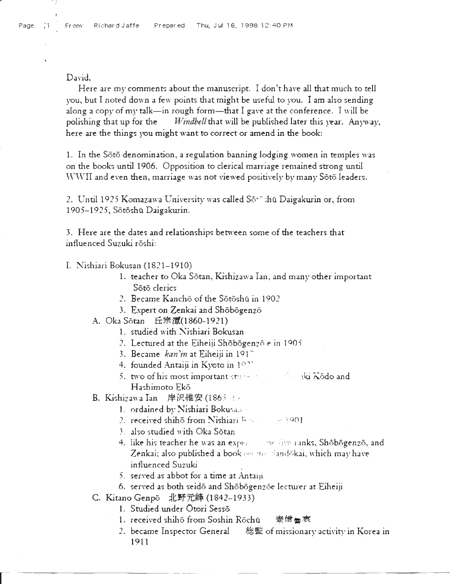David,

Here are my comment; about the manuscript. I don't have all that much to tell you, but I noted down a few points that might be useful to you. I am abo sending along a copy of my talk-in rough form-that I gave at the conference. I will be polishing that up for the *Windbell* that will be published later this year. Anyway, here are the things *you* might want to correct or amend in the book:

1. In the Soto denomination, a regulation banning lodging women in temples was on the books until 1906. Opposition to clerical marriage remained strong until  $\rm WWH$  and even then, marriage was not viewed positively by many Sōtō leaders.

2. Until 1925 Komazawa University was called Sō<sup>1</sup> thu Daigakurin or, from 1905-1925, Sötöshü Daigakurin.

3. Here are the dates and relationships between some of the teachers that influenced Suzuki röshi:

I. Nishiari Bokusan (1821-1910)

- 1. teacher to Oka Sotan, Kishizawa Ian, and many other important Sötö clerics
- 2. Became Kancho of the Sotoshu in 1902
- 3. Expert on Zenkai and Shōbōgenzō
- A. Oka Sōtan 丘宗潭(1860-1921)
	- 1. studied with Nishiari Bokusan
	- 2. Lectured at the Eiheiji Shōbōgenzō e in 1905
	- 3. Became *kan 'in* at Eiheiji in 191 <sup>~</sup>
	- 4. founded Antaiji in Kyoto in  $1^{\circ}$ .
	- S. two of his most important stude is a set of a ski K6do and Hashimoto Ekö
- B. Kishizawa Ian 岸沢維安 (1865 · 1.
	- 1. ordained by Nishiari Bokusa.
	- 2. received shihō from Nishiari  $\mathbb{R}$  :..  $-0.5901$
	- 3. also studied with Oka Sötan
	- 4. like his teacher he was an expert of the fave ranks, Shobogenzo, and Zenkai; also published a book on the Sandökai, which may have influenced Suzuki
	- $5.$  served as abbot for a time at Antaiji.
	- 6. served as both seidō and Shōbōgenzōe lecturer at Eiheiji

----------------· ------- -. ----·--

- C. Kitano Genpō 北野元峰 (1842-1933)
	- 1. Studied under Otori Sessö
	- 1. received shihō from Soshin Rōchū 素信毒衷
	- 2. became Inspector General 総監 of missionary activity in Korea in 1911